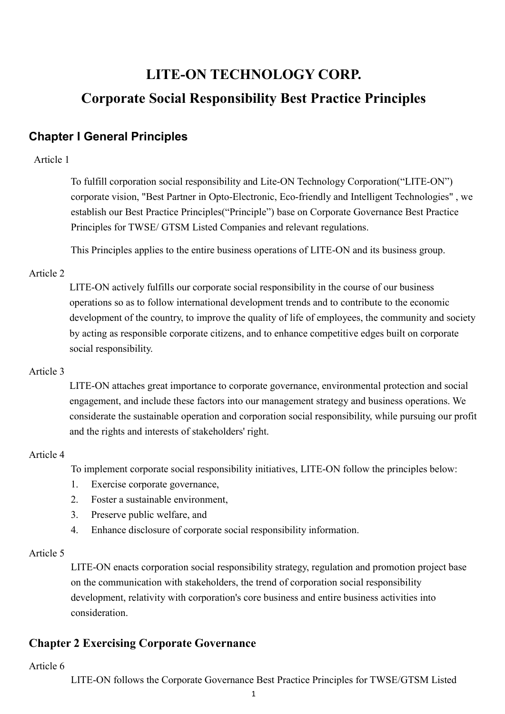# LITE-ON TECHNOLOGY CORP. Corporate Social Responsibility Best Practice Principles

# Chapter I General Principles

## Article 1

To fulfill corporation social responsibility and Lite-ON Technology Corporation("LITE-ON") corporate vision, "Best Partner in Opto-Electronic, Eco-friendly and Intelligent Technologies" , we establish our Best Practice Principles("Principle") base on Corporate Governance Best Practice Principles for TWSE/ GTSM Listed Companies and relevant regulations.

This Principles applies to the entire business operations of LITE-ON and its business group.

# Article 2

LITE-ON actively fulfills our corporate social responsibility in the course of our business operations so as to follow international development trends and to contribute to the economic development of the country, to improve the quality of life of employees, the community and society by acting as responsible corporate citizens, and to enhance competitive edges built on corporate social responsibility.

# Article 3

LITE-ON attaches great importance to corporate governance, environmental protection and social engagement, and include these factors into our management strategy and business operations. We considerate the sustainable operation and corporation social responsibility, while pursuing our profit and the rights and interests of stakeholders' right.

#### Article 4

To implement corporate social responsibility initiatives, LITE-ON follow the principles below:

- 1. Exercise corporate governance,
- 2. Foster a sustainable environment,
- 3. Preserve public welfare, and
- 4. Enhance disclosure of corporate social responsibility information.

#### Article 5

LITE-ON enacts corporation social responsibility strategy, regulation and promotion project base on the communication with stakeholders, the trend of corporation social responsibility development, relativity with corporation's core business and entire business activities into consideration.

# Chapter 2 Exercising Corporate Governance

#### Article 6

LITE-ON follows the Corporate Governance Best Practice Principles for TWSE/GTSM Listed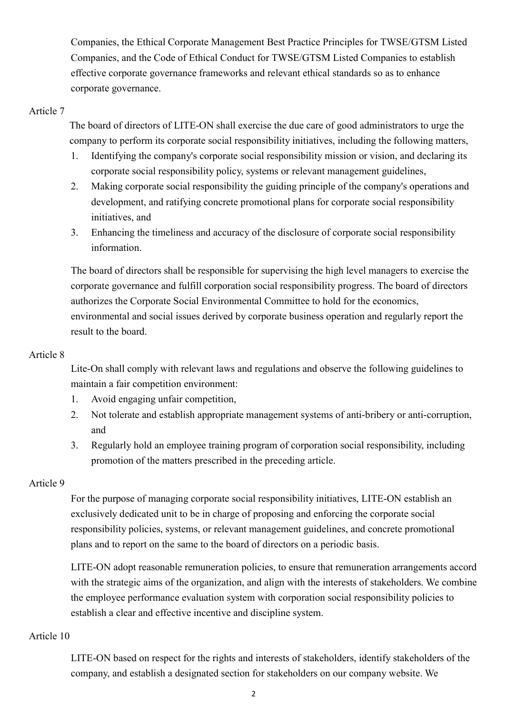Companies, the Ethical Corporate Management Best Practice Principles for TWSE/GTSM Listed Companies, and the Code of Ethical Conduct for TWSE/GTSM Listed Companies to establish effective corporate governance frameworks and relevant ethical standards so as to enhance corporate governance.

#### Article 7

The board of directors of LITE-ON shall exercise the due care of good administrators to urge the company to perform its corporate social responsibility initiatives, including the following matters,

- 1. Identifying the company's corporate social responsibility mission or vision, and declaring its corporate social responsibility policy, systems or relevant management guidelines,
- 2. Making corporate social responsibility the guiding principle of the company's operations and development, and ratifying concrete promotional plans for corporate social responsibility initiatives, and
- 3. Enhancing the timeliness and accuracy of the disclosure of corporate social responsibility information.

The board of directors shall be responsible for supervising the high level managers to exercise the corporate governance and fulfill corporation social responsibility progress. The board of directors authorizes the Corporate Social Environmental Committee to hold for the economics, environmental and social issues derived by corporate business operation and regularly report the result to the board.

#### Article 8

Lite-On shall comply with relevant laws and regulations and observe the following guidelines to maintain a fair competition environment:

- 1. Avoid engaging unfair competition,
- 2. Not tolerate and establish appropriate management systems of anti-bribery or anti-corruption, and
- 3. Regularly hold an employee training program of corporation social responsibility, including promotion of the matters prescribed in the preceding article.

#### Article 9

For the purpose of managing corporate social responsibility initiatives, LITE-ON establish an exclusively dedicated unit to be in charge of proposing and enforcing the corporate social responsibility policies, systems, or relevant management guidelines, and concrete promotional plans and to report on the same to the board of directors on a periodic basis.

LITE-ON adopt reasonable remuneration policies, to ensure that remuneration arrangements accord with the strategic aims of the organization, and align with the interests of stakeholders. We combine the employee performance evaluation system with corporation social responsibility policies to establish a clear and effective incentive and discipline system.

#### Article 10

LITE-ON based on respect for the rights and interests of stakeholders, identify stakeholders of the company, and establish a designated section for stakeholders on our company website. We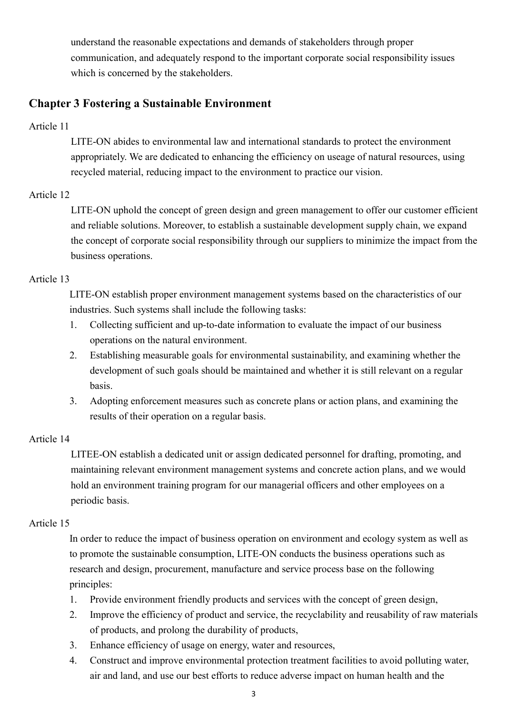understand the reasonable expectations and demands of stakeholders through proper communication, and adequately respond to the important corporate social responsibility issues which is concerned by the stakeholders.

# Chapter 3 Fostering a Sustainable Environment

### Article 11

LITE-ON abides to environmental law and international standards to protect the environment appropriately. We are dedicated to enhancing the efficiency on useage of natural resources, using recycled material, reducing impact to the environment to practice our vision.

# Article 12

LITE-ON uphold the concept of green design and green management to offer our customer efficient and reliable solutions. Moreover, to establish a sustainable development supply chain, we expand the concept of corporate social responsibility through our suppliers to minimize the impact from the business operations.

# Article 13

LITE-ON establish proper environment management systems based on the characteristics of our industries. Such systems shall include the following tasks:

- 1. Collecting sufficient and up-to-date information to evaluate the impact of our business operations on the natural environment.
- 2. Establishing measurable goals for environmental sustainability, and examining whether the development of such goals should be maintained and whether it is still relevant on a regular basis.
- 3. Adopting enforcement measures such as concrete plans or action plans, and examining the results of their operation on a regular basis.

# Article 14

LITEE-ON establish a dedicated unit or assign dedicated personnel for drafting, promoting, and maintaining relevant environment management systems and concrete action plans, and we would hold an environment training program for our managerial officers and other employees on a periodic basis.

# Article 15

In order to reduce the impact of business operation on environment and ecology system as well as to promote the sustainable consumption, LITE-ON conducts the business operations such as research and design, procurement, manufacture and service process base on the following principles:

- 1. Provide environment friendly products and services with the concept of green design,
- 2. Improve the efficiency of product and service, the recyclability and reusability of raw materials of products, and prolong the durability of products,
- 3. Enhance efficiency of usage on energy, water and resources,
- 4. Construct and improve environmental protection treatment facilities to avoid polluting water, air and land, and use our best efforts to reduce adverse impact on human health and the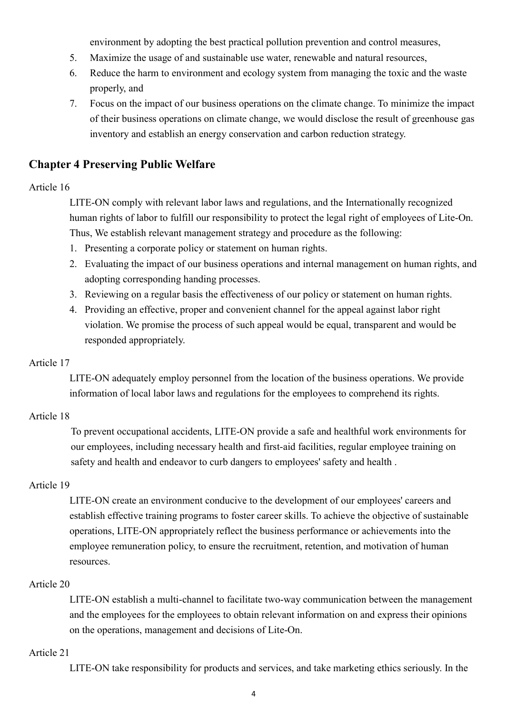environment by adopting the best practical pollution prevention and control measures,

- 5. Maximize the usage of and sustainable use water, renewable and natural resources,
- 6. Reduce the harm to environment and ecology system from managing the toxic and the waste properly, and
- 7. Focus on the impact of our business operations on the climate change. To minimize the impact of their business operations on climate change, we would disclose the result of greenhouse gas inventory and establish an energy conservation and carbon reduction strategy.

# Chapter 4 Preserving Public Welfare

#### Article 16

LITE-ON comply with relevant labor laws and regulations, and the Internationally recognized human rights of labor to fulfill our responsibility to protect the legal right of employees of Lite-On. Thus, We establish relevant management strategy and procedure as the following:

- 1. Presenting a corporate policy or statement on human rights.
- 2. Evaluating the impact of our business operations and internal management on human rights, and adopting corresponding handing processes.
- 3. Reviewing on a regular basis the effectiveness of our policy or statement on human rights.
- 4. Providing an effective, proper and convenient channel for the appeal against labor right violation. We promise the process of such appeal would be equal, transparent and would be responded appropriately.

#### Article 17

LITE-ON adequately employ personnel from the location of the business operations. We provide information of local labor laws and regulations for the employees to comprehend its rights.

#### Article 18

To prevent occupational accidents, LITE-ON provide a safe and healthful work environments for our employees, including necessary health and first-aid facilities, regular employee training on safety and health and endeavor to curb dangers to employees' safety and health .

#### Article 19

LITE-ON create an environment conducive to the development of our employees' careers and establish effective training programs to foster career skills. To achieve the objective of sustainable operations, LITE-ON appropriately reflect the business performance or achievements into the employee remuneration policy, to ensure the recruitment, retention, and motivation of human resources.

#### Article 20

LITE-ON establish a multi-channel to facilitate two-way communication between the management and the employees for the employees to obtain relevant information on and express their opinions on the operations, management and decisions of Lite-On.

#### Article 21

LITE-ON take responsibility for products and services, and take marketing ethics seriously. In the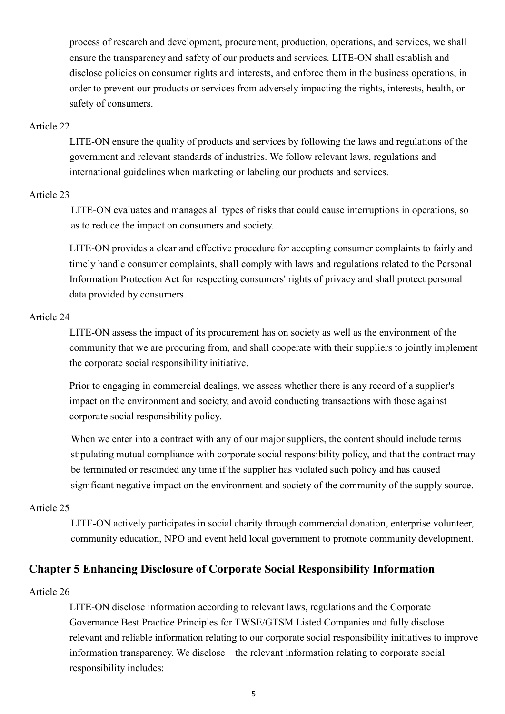process of research and development, procurement, production, operations, and services, we shall ensure the transparency and safety of our products and services. LITE-ON shall establish and disclose policies on consumer rights and interests, and enforce them in the business operations, in order to prevent our products or services from adversely impacting the rights, interests, health, or safety of consumers.

#### Article 22

LITE-ON ensure the quality of products and services by following the laws and regulations of the government and relevant standards of industries. We follow relevant laws, regulations and international guidelines when marketing or labeling our products and services.

#### Article 23

LITE-ON evaluates and manages all types of risks that could cause interruptions in operations, so as to reduce the impact on consumers and society.

LITE-ON provides a clear and effective procedure for accepting consumer complaints to fairly and timely handle consumer complaints, shall comply with laws and regulations related to the Personal Information Protection Act for respecting consumers' rights of privacy and shall protect personal data provided by consumers.

#### Article 24

LITE-ON assess the impact of its procurement has on society as well as the environment of the community that we are procuring from, and shall cooperate with their suppliers to jointly implement the corporate social responsibility initiative.

Prior to engaging in commercial dealings, we assess whether there is any record of a supplier's impact on the environment and society, and avoid conducting transactions with those against corporate social responsibility policy.

When we enter into a contract with any of our major suppliers, the content should include terms stipulating mutual compliance with corporate social responsibility policy, and that the contract may be terminated or rescinded any time if the supplier has violated such policy and has caused significant negative impact on the environment and society of the community of the supply source.

#### Article 25

LITE-ON actively participates in social charity through commercial donation, enterprise volunteer, community education, NPO and event held local government to promote community development.

#### Chapter 5 Enhancing Disclosure of Corporate Social Responsibility Information

#### Article 26

LITE-ON disclose information according to relevant laws, regulations and the Corporate Governance Best Practice Principles for TWSE/GTSM Listed Companies and fully disclose relevant and reliable information relating to our corporate social responsibility initiatives to improve information transparency. We disclose the relevant information relating to corporate social responsibility includes: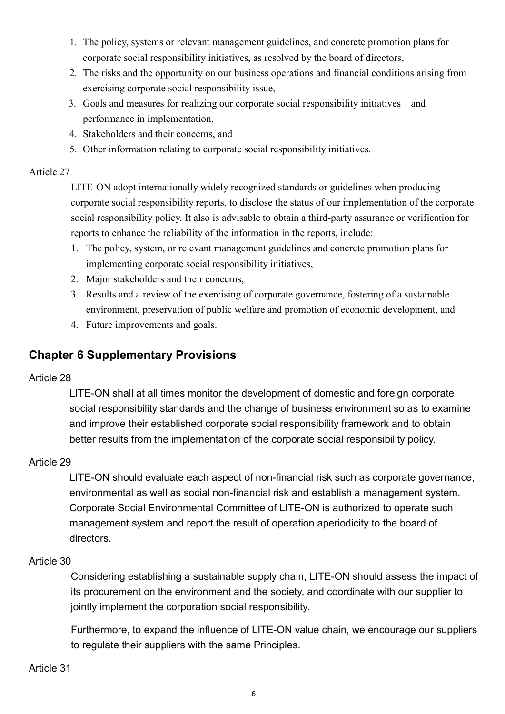- 1. The policy, systems or relevant management guidelines, and concrete promotion plans for corporate social responsibility initiatives, as resolved by the board of directors,
- 2. The risks and the opportunity on our business operations and financial conditions arising from exercising corporate social responsibility issue,
- 3. Goals and measures for realizing our corporate social responsibility initiatives and performance in implementation,
- 4. Stakeholders and their concerns, and
- 5. Other information relating to corporate social responsibility initiatives.

#### Article 27

LITE-ON adopt internationally widely recognized standards or guidelines when producing corporate social responsibility reports, to disclose the status of our implementation of the corporate social responsibility policy. It also is advisable to obtain a third-party assurance or verification for reports to enhance the reliability of the information in the reports, include:

- 1. The policy, system, or relevant management guidelines and concrete promotion plans for implementing corporate social responsibility initiatives,
- 2. Major stakeholders and their concerns,
- 3. Results and a review of the exercising of corporate governance, fostering of a sustainable environment, preservation of public welfare and promotion of economic development, and
- 4. Future improvements and goals.

# Chapter 6 Supplementary Provisions

#### Article 28

LITE-ON shall at all times monitor the development of domestic and foreign corporate social responsibility standards and the change of business environment so as to examine and improve their established corporate social responsibility framework and to obtain better results from the implementation of the corporate social responsibility policy.

#### Article 29

LITE-ON should evaluate each aspect of non-financial risk such as corporate governance, environmental as well as social non-financial risk and establish a management system. Corporate Social Environmental Committee of LITE-ON is authorized to operate such management system and report the result of operation aperiodicity to the board of directors.

#### Article 30

Considering establishing a sustainable supply chain, LITE-ON should assess the impact of its procurement on the environment and the society, and coordinate with our supplier to jointly implement the corporation social responsibility.

Furthermore, to expand the influence of LITE-ON value chain, we encourage our suppliers to regulate their suppliers with the same Principles.

#### Article 31